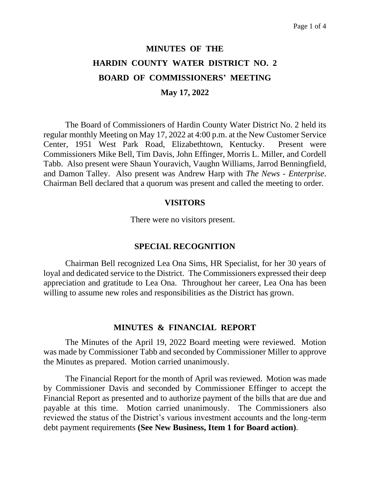# **MINUTES OF THE HARDIN COUNTY WATER DISTRICT NO. 2 BOARD OF COMMISSIONERS' MEETING May 17, 2022**

The Board of Commissioners of Hardin County Water District No. 2 held its regular monthly Meeting on May 17, 2022 at 4:00 p.m. at the New Customer Service Center, 1951 West Park Road, Elizabethtown, Kentucky. Present were Commissioners Mike Bell, Tim Davis, John Effinger, Morris L. Miller, and Cordell Tabb. Also present were Shaun Youravich, Vaughn Williams, Jarrod Benningfield, and Damon Talley. Also present was Andrew Harp with *The News - Enterprise*. Chairman Bell declared that a quorum was present and called the meeting to order.

#### **VISITORS**

There were no visitors present.

#### **SPECIAL RECOGNITION**

Chairman Bell recognized Lea Ona Sims, HR Specialist, for her 30 years of loyal and dedicated service to the District. The Commissioners expressed their deep appreciation and gratitude to Lea Ona. Throughout her career, Lea Ona has been willing to assume new roles and responsibilities as the District has grown.

#### **MINUTES & FINANCIAL REPORT**

The Minutes of the April 19, 2022 Board meeting were reviewed. Motion was made by Commissioner Tabb and seconded by Commissioner Miller to approve the Minutes as prepared. Motion carried unanimously.

The Financial Report for the month of April was reviewed. Motion was made by Commissioner Davis and seconded by Commissioner Effinger to accept the Financial Report as presented and to authorize payment of the bills that are due and payable at this time. Motion carried unanimously. The Commissioners also reviewed the status of the District's various investment accounts and the long-term debt payment requirements **(See New Business, Item 1 for Board action)**.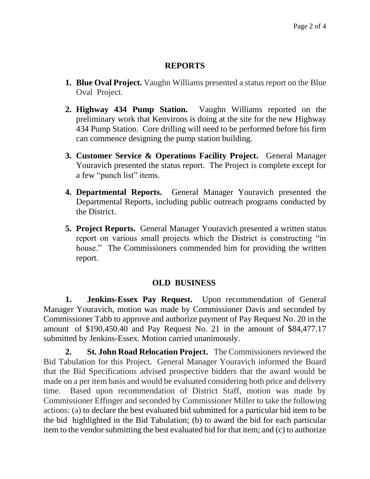### **REPORTS**

- **1. Blue Oval Project.** Vaughn Williams presented a status report on the Blue Oval Project.
- **2. Highway 434 Pump Station.** Vaughn Williams reported on the preliminary work that Kenvirons is doing at the site for the new Highway 434 Pump Station. Core drilling will need to be performed before his firm can commence designing the pump station building.
- **3. Customer Service & Operations Facility Project.** General Manager Youravich presented the status report. The Project is complete except for a few "punch list" items.
- **4. Departmental Reports.** General Manager Youravich presented the Departmental Reports, including public outreach programs conducted by the District.
- **5. Project Reports.** General Manager Youravich presented a written status report on various small projects which the District is constructing "in house." The Commissioners commended him for providing the written report.

#### **OLD BUSINESS**

**1. Jenkins-Essex Pay Request.** Upon recommendation of General Manager Youravich, motion was made by Commissioner Davis and seconded by Commissioner Tabb to approve and authorize payment of Pay Request No. 20 in the amount of \$190,450.40 and Pay Request No. 21 in the amount of \$84,477.17 submitted by Jenkins-Essex. Motion carried unanimously.

**2. St. John Road Relocation Project.** The Commissioners reviewed the Bid Tabulation for this Project. General Manager Youravich informed the Board that the Bid Specifications advised prospective bidders that the award would be made on a per item basis and would be evaluated considering both price and delivery time. Based upon recommendation of District Staff, motion was made by Commissioner Effinger and seconded by Commissioner Miller to take the following actions: (a) to declare the best evaluated bid submitted for a particular bid item to be the bid highlighted in the Bid Tabulation; (b) to award the bid for each particular item to the vendor submitting the best evaluated bid for that item; and (c) to authorize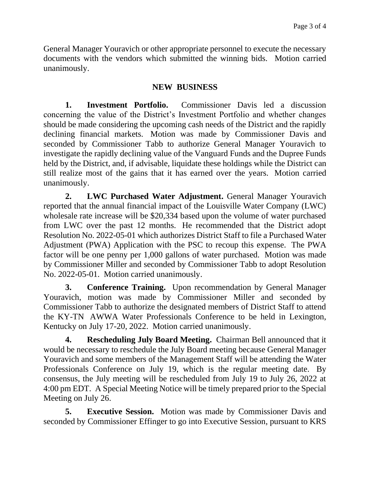General Manager Youravich or other appropriate personnel to execute the necessary documents with the vendors which submitted the winning bids. Motion carried unanimously.

#### **NEW BUSINESS**

**1. Investment Portfolio.** Commissioner Davis led a discussion concerning the value of the District's Investment Portfolio and whether changes should be made considering the upcoming cash needs of the District and the rapidly declining financial markets. Motion was made by Commissioner Davis and seconded by Commissioner Tabb to authorize General Manager Youravich to investigate the rapidly declining value of the Vanguard Funds and the Dupree Funds held by the District, and, if advisable, liquidate these holdings while the District can still realize most of the gains that it has earned over the years. Motion carried unanimously.

**2. LWC Purchased Water Adjustment.** General Manager Youravich reported that the annual financial impact of the Louisville Water Company (LWC) wholesale rate increase will be \$20,334 based upon the volume of water purchased from LWC over the past 12 months. He recommended that the District adopt Resolution No. 2022-05-01 which authorizes District Staff to file a Purchased Water Adjustment (PWA) Application with the PSC to recoup this expense. The PWA factor will be one penny per 1,000 gallons of water purchased. Motion was made by Commissioner Miller and seconded by Commissioner Tabb to adopt Resolution No. 2022-05-01. Motion carried unanimously.

**3. Conference Training.** Upon recommendation by General Manager Youravich, motion was made by Commissioner Miller and seconded by Commissioner Tabb to authorize the designated members of District Staff to attend the KY-TN AWWA Water Professionals Conference to be held in Lexington, Kentucky on July 17-20, 2022. Motion carried unanimously.

**4. Rescheduling July Board Meeting.** Chairman Bell announced that it would be necessary to reschedule the July Board meeting because General Manager Youravich and some members of the Management Staff will be attending the Water Professionals Conference on July 19, which is the regular meeting date. By consensus, the July meeting will be rescheduled from July 19 to July 26, 2022 at 4:00 pm EDT. A Special Meeting Notice will be timely prepared prior to the Special Meeting on July 26.

**5. Executive Session.** Motion was made by Commissioner Davis and seconded by Commissioner Effinger to go into Executive Session, pursuant to KRS